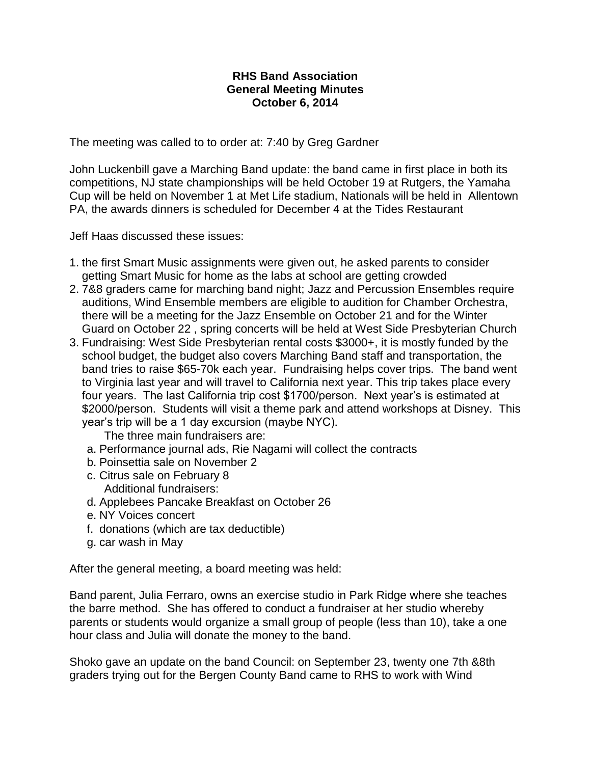## **RHS Band Association General Meeting Minutes October 6, 2014**

The meeting was called to to order at: 7:40 by Greg Gardner

John Luckenbill gave a Marching Band update: the band came in first place in both its competitions, NJ state championships will be held October 19 at Rutgers, the Yamaha Cup will be held on November 1 at Met Life stadium, Nationals will be held in Allentown PA, the awards dinners is scheduled for December 4 at the Tides Restaurant

Jeff Haas discussed these issues:

- 1. the first Smart Music assignments were given out, he asked parents to consider getting Smart Music for home as the labs at school are getting crowded
- 2. 7&8 graders came for marching band night; Jazz and Percussion Ensembles require auditions, Wind Ensemble members are eligible to audition for Chamber Orchestra, there will be a meeting for the Jazz Ensemble on October 21 and for the Winter Guard on October 22 , spring concerts will be held at West Side Presbyterian Church
- 3. Fundraising: West Side Presbyterian rental costs \$3000+, it is mostly funded by the school budget, the budget also covers Marching Band staff and transportation, the band tries to raise \$65-70k each year. Fundraising helps cover trips. The band went to Virginia last year and will travel to California next year. This trip takes place every four years. The last California trip cost \$1700/person. Next year's is estimated at \$2000/person. Students will visit a theme park and attend workshops at Disney. This year's trip will be a 1 day excursion (maybe NYC).

The three main fundraisers are:

- a. Performance journal ads, Rie Nagami will collect the contracts
- b. Poinsettia sale on November 2
- c. Citrus sale on February 8 Additional fundraisers:
- d. Applebees Pancake Breakfast on October 26
- e. NY Voices concert
- f. donations (which are tax deductible)
- g. car wash in May

After the general meeting, a board meeting was held:

Band parent, Julia Ferraro, owns an exercise studio in Park Ridge where she teaches the barre method. She has offered to conduct a fundraiser at her studio whereby parents or students would organize a small group of people (less than 10), take a one hour class and Julia will donate the money to the band.

Shoko gave an update on the band Council: on September 23, twenty one 7th &8th graders trying out for the Bergen County Band came to RHS to work with Wind